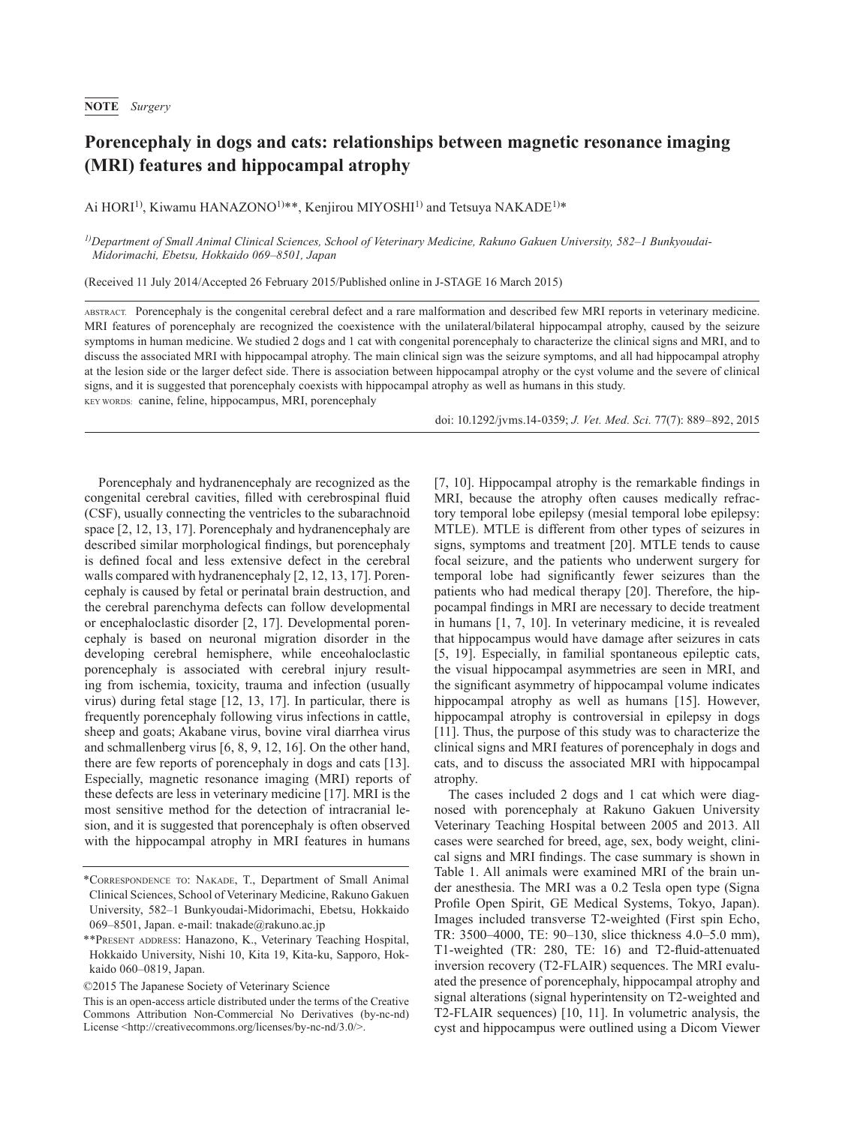## **Porencephaly in dogs and cats: relationships between magnetic resonance imaging (MRI) features and hippocampal atrophy**

Ai HORI<sup>1)</sup>, Kiwamu HANAZONO<sup>1)\*\*</sup>, Kenjirou MIYOSHI<sup>1)</sup> and Tetsuya NAKADE<sup>1)\*</sup>

*1)Department of Small Animal Clinical Sciences, School of Veterinary Medicine, Rakuno Gakuen University, 582–1 Bunkyoudai-Midorimachi, Ebetsu, Hokkaido 069–8501, Japan*

(Received 11 July 2014/Accepted 26 February 2015/Published online in J-STAGE 16 March 2015)

ABSTRACT. Porencephaly is the congenital cerebral defect and a rare malformation and described few MRI reports in veterinary medicine. MRI features of porencephaly are recognized the coexistence with the unilateral/bilateral hippocampal atrophy, caused by the seizure symptoms in human medicine. We studied 2 dogs and 1 cat with congenital porencephaly to characterize the clinical signs and MRI, and to discuss the associated MRI with hippocampal atrophy. The main clinical sign was the seizure symptoms, and all had hippocampal atrophy at the lesion side or the larger defect side. There is association between hippocampal atrophy or the cyst volume and the severe of clinical signs, and it is suggested that porencephaly coexists with hippocampal atrophy as well as humans in this study. KEY WORDS: canine, feline, hippocampus, MRI, porencephaly

doi: 10.1292/jvms.14-0359; *J. Vet. Med. Sci.* 77(7): 889–892, 2015

Porencephaly and hydranencephaly are recognized as the congenital cerebral cavities, filled with cerebrospinal fluid (CSF), usually connecting the ventricles to the subarachnoid space [[2, 12, 13, 17\]](#page-3-0). Porencephaly and hydranencephaly are described similar morphological findings, but porencephaly is defined focal and less extensive defect in the cerebral walls compared with hydranencephaly [\[2, 12, 13, 17](#page-3-0)]. Porencephaly is caused by fetal or perinatal brain destruction, and the cerebral parenchyma defects can follow developmental or encephaloclastic disorder [\[2, 17](#page-3-0)]. Developmental porencephaly is based on neuronal migration disorder in the developing cerebral hemisphere, while enceohaloclastic porencephaly is associated with cerebral injury resulting from ischemia, toxicity, trauma and infection (usually virus) during fetal stage [\[12, 13, 17\]](#page-3-1). In particular, there is frequently porencephaly following virus infections in cattle, sheep and goats; Akabane virus, bovine viral diarrhea virus and schmallenberg virus [\[6, 8, 9, 12, 16](#page-3-2)]. On the other hand, there are few reports of porencephaly in dogs and cats [\[13\]](#page-3-3). Especially, magnetic resonance imaging (MRI) reports of these defects are less in veterinary medicine [[17](#page-3-4)]. MRI is the most sensitive method for the detection of intracranial lesion, and it is suggested that porencephaly is often observed with the hippocampal atrophy in MRI features in humans

©2015 The Japanese Society of Veterinary Science

[\[7, 10](#page-3-5)]. Hippocampal atrophy is the remarkable findings in MRI, because the atrophy often causes medically refractory temporal lobe epilepsy (mesial temporal lobe epilepsy: MTLE). MTLE is different from other types of seizures in signs, symptoms and treatment [\[20\]](#page-3-6). MTLE tends to cause focal seizure, and the patients who underwent surgery for temporal lobe had significantly fewer seizures than the patients who had medical therapy [\[20\]](#page-3-6). Therefore, the hippocampal findings in MRI are necessary to decide treatment in humans [[1, 7, 10](#page-3-7)]. In veterinary medicine, it is revealed that hippocampus would have damage after seizures in cats [\[5, 19](#page-3-8)]. Especially, in familial spontaneous epileptic cats, the visual hippocampal asymmetries are seen in MRI, and the significant asymmetry of hippocampal volume indicates hippocampal atrophy as well as humans [[15](#page-3-9)]. However, hippocampal atrophy is controversial in epilepsy in dogs [\[11\]](#page-3-10). Thus, the purpose of this study was to characterize the clinical signs and MRI features of porencephaly in dogs and cats, and to discuss the associated MRI with hippocampal atrophy.

The cases included 2 dogs and 1 cat which were diagnosed with porencephaly at Rakuno Gakuen University Veterinary Teaching Hospital between 2005 and 2013. All cases were searched for breed, age, sex, body weight, clinical signs and MRI findings. The case summary is shown in Table 1. All animals were examined MRI of the brain under anesthesia. The MRI was a 0.2 Tesla open type (Signa Profile Open Spirit, GE Medical Systems, Tokyo, Japan). Images included transverse T2-weighted (First spin Echo, TR: 3500–4000, TE: 90–130, slice thickness 4.0–5.0 mm), T1-weighted (TR: 280, TE: 16) and T2-fluid-attenuated inversion recovery (T2-FLAIR) sequences. The MRI evaluated the presence of porencephaly, hippocampal atrophy and signal alterations (signal hyperintensity on T2-weighted and T2-FLAIR sequences) [[10, 11](#page-3-11)]. In volumetric analysis, the cyst and hippocampus were outlined using a Dicom Viewer

<sup>\*</sup>Correspondence to: Nakade, T., Department of Small Animal Clinical Sciences, School of Veterinary Medicine, Rakuno Gakuen University, 582–1 Bunkyoudai-Midorimachi, Ebetsu, Hokkaido 069–8501, Japan. e-mail: tnakade@rakuno.ac.jp

<sup>\*\*</sup>Present address: Hanazono, K., Veterinary Teaching Hospital, Hokkaido University, Nishi 10, Kita 19, Kita-ku, Sapporo, Hokkaido 060–0819, Japan.

This is an open-access article distributed under the terms of the Creative Commons Attribution Non-Commercial No Derivatives (by-nc-nd) License [<http://creativecommons.org/licenses/by-nc-nd/3.0/](http://creativecommons.org/licenses/by-nc-nd/3.0/)>.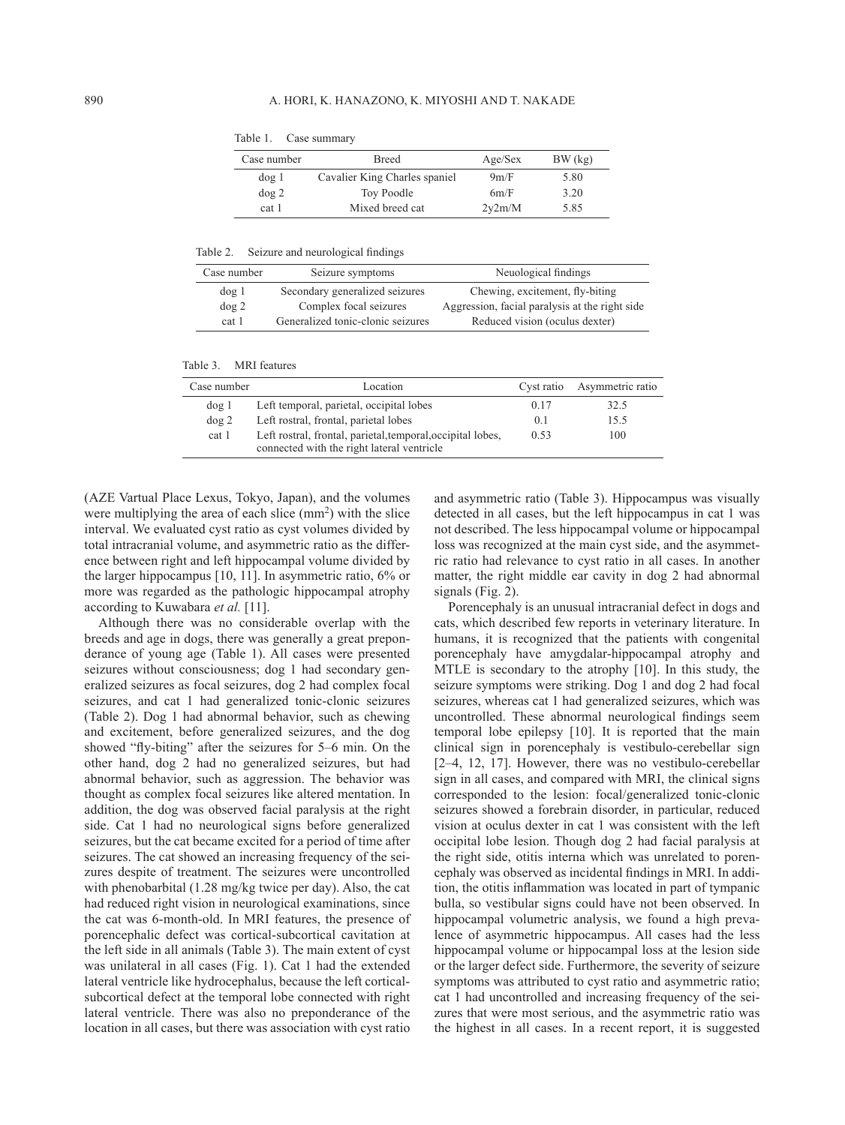| Case number | Breed                         | Age/Sex | $BW$ (kg) |
|-------------|-------------------------------|---------|-----------|
| $\log 1$    | Cavalier King Charles spaniel | 9m/F    | 5.80      |
| $\log 2$    | Toy Poodle                    | 6m/F    | 3.20      |
| cat 1       | Mixed breed cat               | 2v2m/M  | 5.85      |

Table 1. Case summary

Table 2. Seizure and neurological findings

| Case number | Seizure symptoms                  | Neuological findings                           |  |
|-------------|-----------------------------------|------------------------------------------------|--|
| $\log 1$    | Secondary generalized seizures    | Chewing, excitement, fly-biting                |  |
| $\log 2$    | Complex focal seizures            | Aggression, facial paralysis at the right side |  |
| cat 1       | Generalized tonic-clonic seizures | Reduced vision (oculus dexter)                 |  |

Table 3. MRI features

| Case number | Location                                                                                                  | Cyst ratio | Asymmetric ratio |
|-------------|-----------------------------------------------------------------------------------------------------------|------------|------------------|
| $\log 1$    | Left temporal, parietal, occipital lobes                                                                  | 0.17       | 32.5             |
| $\log 2$    | Left rostral, frontal, parietal lobes                                                                     | 0.1        | 15.5             |
| cat 1       | Left rostral, frontal, parietal, temporal, occipital lobes,<br>connected with the right lateral ventricle | 0.53       | 100              |

(AZE Vartual Place Lexus, Tokyo, Japan), and the volumes were multiplying the area of each slice (mm<sup>2</sup>) with the slice interval. We evaluated cyst ratio as cyst volumes divided by total intracranial volume, and asymmetric ratio as the difference between right and left hippocampal volume divided by the larger hippocampus [[10, 11](#page-3-11)]. In asymmetric ratio, 6% or more was regarded as the pathologic hippocampal atrophy according to Kuwabara *et al.* [[11\]](#page-3-10).

Although there was no considerable overlap with the breeds and age in dogs, there was generally a great preponderance of young age (Table 1). All cases were presented seizures without consciousness; dog 1 had secondary generalized seizures as focal seizures, dog 2 had complex focal seizures, and cat 1 had generalized tonic-clonic seizures (Table 2). Dog 1 had abnormal behavior, such as chewing and excitement, before generalized seizures, and the dog showed "fly-biting" after the seizures for 5–6 min. On the other hand, dog 2 had no generalized seizures, but had abnormal behavior, such as aggression. The behavior was thought as complex focal seizures like altered mentation. In addition, the dog was observed facial paralysis at the right side. Cat 1 had no neurological signs before generalized seizures, but the cat became excited for a period of time after seizures. The cat showed an increasing frequency of the seizures despite of treatment. The seizures were uncontrolled with phenobarbital (1.28 mg/kg twice per day). Also, the cat had reduced right vision in neurological examinations, since the cat was 6-month-old. In MRI features, the presence of porencephalic defect was cortical-subcortical cavitation at the left side in all animals (Table 3). The main extent of cyst was unilateral in all cases (Fig. 1). Cat 1 had the extended lateral ventricle like hydrocephalus, because the left corticalsubcortical defect at the temporal lobe connected with right lateral ventricle. There was also no preponderance of the location in all cases, but there was association with cyst ratio

and asymmetric ratio (Table 3). Hippocampus was visually detected in all cases, but the left hippocampus in cat 1 was not described. The less hippocampal volume or hippocampal loss was recognized at the main cyst side, and the asymmetric ratio had relevance to cyst ratio in all cases. In another matter, the right middle ear cavity in dog 2 had abnormal signals (Fig. 2).

Porencephaly is an unusual intracranial defect in dogs and cats, which described few reports in veterinary literature. In humans, it is recognized that the patients with congenital porencephaly have amygdalar-hippocampal atrophy and MTLE is secondary to the atrophy [\[10\]](#page-3-11). In this study, the seizure symptoms were striking. Dog 1 and dog 2 had focal seizures, whereas cat 1 had generalized seizures, which was uncontrolled. These abnormal neurological findings seem temporal lobe epilepsy [[10](#page-3-11)]. It is reported that the main clinical sign in porencephaly is vestibulo-cerebellar sign [\[2–4, 12, 17](#page-3-0)]. However, there was no vestibulo-cerebellar sign in all cases, and compared with MRI, the clinical signs corresponded to the lesion: focal/generalized tonic-clonic seizures showed a forebrain disorder, in particular, reduced vision at oculus dexter in cat 1 was consistent with the left occipital lobe lesion. Though dog 2 had facial paralysis at the right side, otitis interna which was unrelated to porencephaly was observed as incidental findings in MRI. In addition, the otitis inflammation was located in part of tympanic bulla, so vestibular signs could have not been observed. In hippocampal volumetric analysis, we found a high prevalence of asymmetric hippocampus. All cases had the less hippocampal volume or hippocampal loss at the lesion side or the larger defect side. Furthermore, the severity of seizure symptoms was attributed to cyst ratio and asymmetric ratio; cat 1 had uncontrolled and increasing frequency of the seizures that were most serious, and the asymmetric ratio was the highest in all cases. In a recent report, it is suggested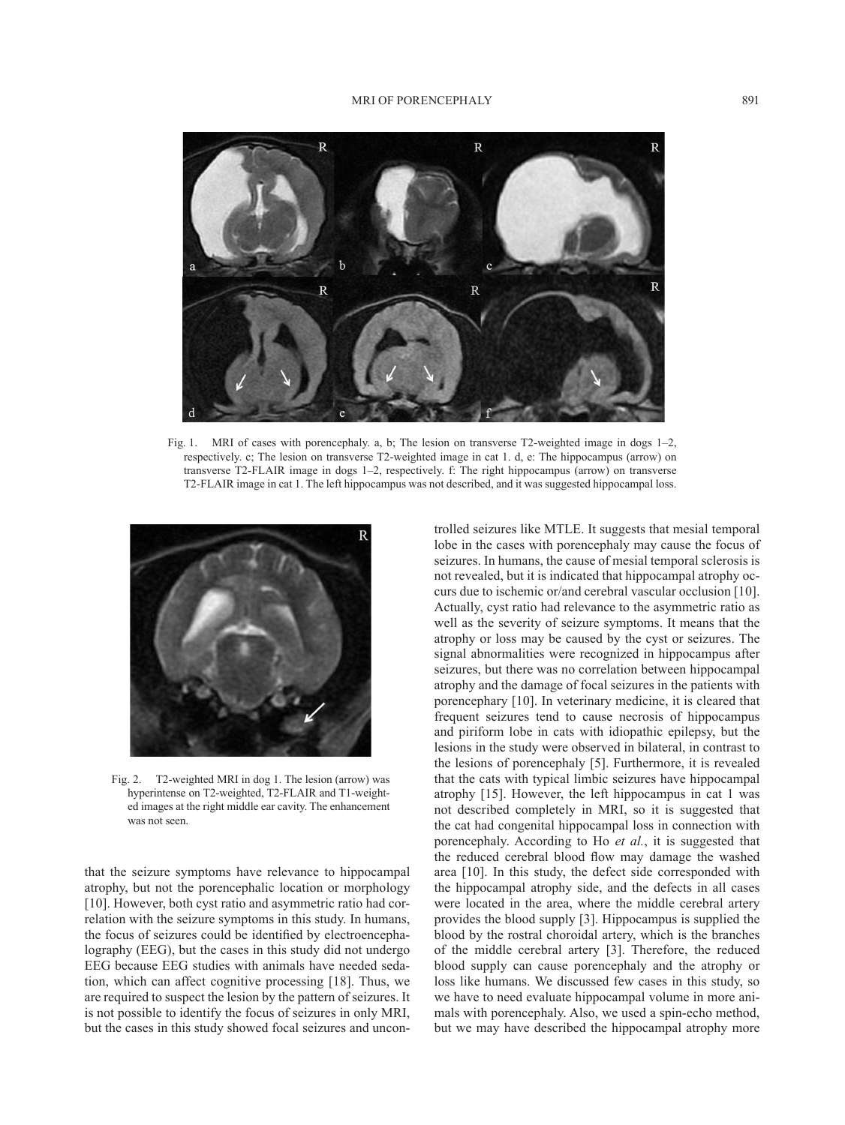## MRI OF PORENCEPHALY 891



Fig. 1. MRI of cases with porencephaly. a, b; The lesion on transverse T2-weighted image in dogs 1–2, respectively. c; The lesion on transverse T2-weighted image in cat 1. d, e: The hippocampus (arrow) on transverse T2-FLAIR image in dogs 1–2, respectively. f: The right hippocampus (arrow) on transverse T2-FLAIR image in cat 1. The left hippocampus was not described, and it was suggested hippocampal loss.



Fig. 2. T2-weighted MRI in dog 1. The lesion (arrow) was hyperintense on T2-weighted, T2-FLAIR and T1-weighted images at the right middle ear cavity. The enhancement was not seen.

that the seizure symptoms have relevance to hippocampal atrophy, but not the porencephalic location or morphology [[10](#page-3-11)]. However, both cyst ratio and asymmetric ratio had correlation with the seizure symptoms in this study. In humans, the focus of seizures could be identified by electroencephalography (EEG), but the cases in this study did not undergo EEG because EEG studies with animals have needed sedation, which can affect cognitive processing [[18](#page-3-12)]. Thus, we are required to suspect the lesion by the pattern of seizures. It is not possible to identify the focus of seizures in only MRI, but the cases in this study showed focal seizures and uncontrolled seizures like MTLE. It suggests that mesial temporal lobe in the cases with porencephaly may cause the focus of seizures. In humans, the cause of mesial temporal sclerosis is not revealed, but it is indicated that hippocampal atrophy occurs due to ischemic or/and cerebral vascular occlusion [[10](#page-3-11)]. Actually, cyst ratio had relevance to the asymmetric ratio as well as the severity of seizure symptoms. It means that the atrophy or loss may be caused by the cyst or seizures. The signal abnormalities were recognized in hippocampus after seizures, but there was no correlation between hippocampal atrophy and the damage of focal seizures in the patients with porencephary [[10\]](#page-3-11). In veterinary medicine, it is cleared that frequent seizures tend to cause necrosis of hippocampus and piriform lobe in cats with idiopathic epilepsy, but the lesions in the study were observed in bilateral, in contrast to the lesions of porencephaly [\[5\]](#page-3-8). Furthermore, it is revealed that the cats with typical limbic seizures have hippocampal atrophy [[15\]](#page-3-9). However, the left hippocampus in cat 1 was not described completely in MRI, so it is suggested that the cat had congenital hippocampal loss in connection with porencephaly. According to Ho *et al.*, it is suggested that the reduced cerebral blood flow may damage the washed area [[10](#page-3-11)]. In this study, the defect side corresponded with the hippocampal atrophy side, and the defects in all cases were located in the area, where the middle cerebral artery provides the blood supply [[3](#page-3-13)]. Hippocampus is supplied the blood by the rostral choroidal artery, which is the branches of the middle cerebral artery [\[3](#page-3-13)]. Therefore, the reduced blood supply can cause porencephaly and the atrophy or loss like humans. We discussed few cases in this study, so we have to need evaluate hippocampal volume in more animals with porencephaly. Also, we used a spin-echo method, but we may have described the hippocampal atrophy more